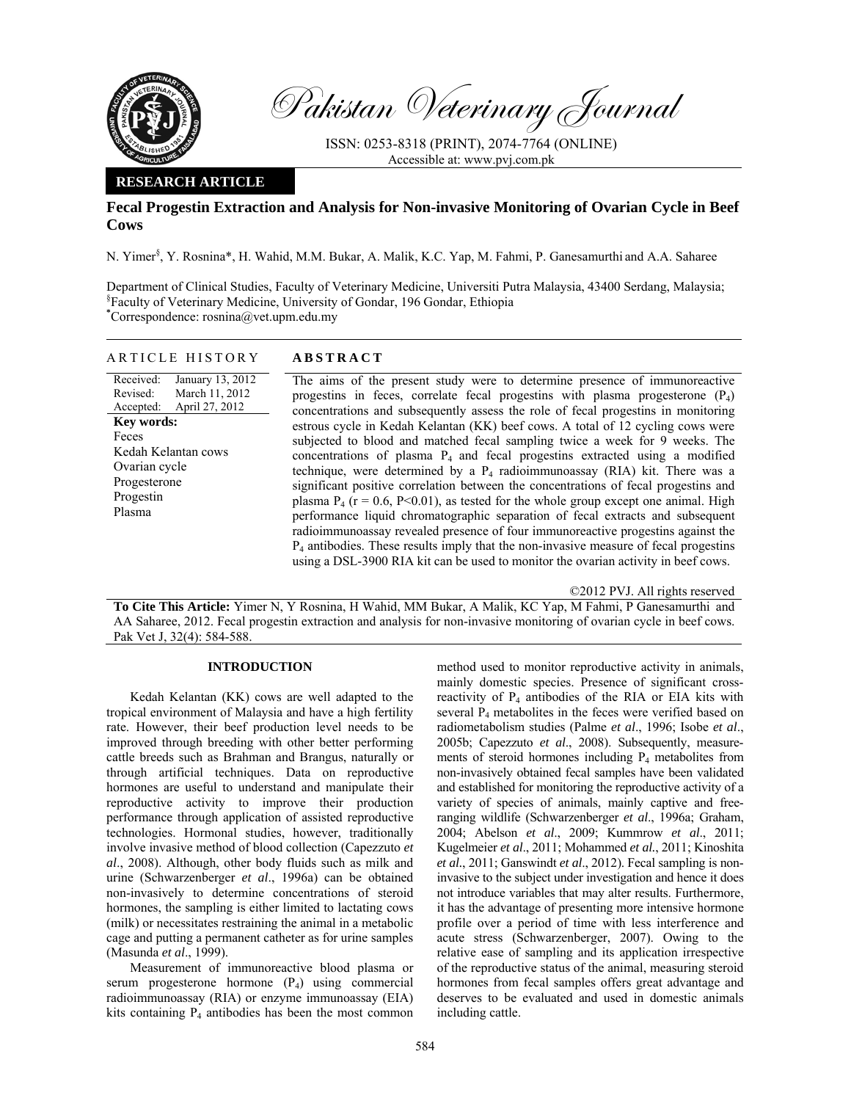

Pakistan Veterinary Journal

ISSN: 0253-8318 (PRINT), 2074-7764 (ONLINE) Accessible at: www.pvj.com.pk

## **RESEARCH ARTICLE**

# **Fecal Progestin Extraction and Analysis for Non-invasive Monitoring of Ovarian Cycle in Beef Cows**

N. Yimer<sup>§</sup>, Y. Rosnina\*, H. Wahid, M.M. Bukar, A. Malik, K.C. Yap, M. Fahmi, P. Ganesamurthi and A.A. Saharee

Department of Clinical Studies, Faculty of Veterinary Medicine, Universiti Putra Malaysia, 43400 Serdang, Malaysia; § Faculty of Veterinary Medicine, University of Gondar, 196 Gondar, Ethiopia **\*** Correspondence: rosnina@vet.upm.edu.my

| <b>ABSTRACT</b>                                                                       |
|---------------------------------------------------------------------------------------|
| The aims of the present study were to determine presence of immunoreactive            |
| progestins in feces, correlate fecal progestins with plasma progesterone $(P_4)$      |
| concentrations and subsequently assess the role of fecal progestins in monitoring     |
| estrous cycle in Kedah Kelantan (KK) beef cows. A total of 12 cycling cows were       |
| subjected to blood and matched fecal sampling twice a week for 9 weeks. The           |
| concentrations of plasma $P_4$ and fecal progestins extracted using a modified        |
| technique, were determined by a $P_4$ radioimmunoassay (RIA) kit. There was a         |
| significant positive correlation between the concentrations of fecal progestins and   |
| plasma $P_4$ (r = 0.6, P<0.01), as tested for the whole group except one animal. High |
| performance liquid chromatographic separation of fecal extracts and subsequent        |
|                                                                                       |

radioimmunoassay revealed presence of four immunoreactive progestins against the  $P_4$  antibodies. These results imply that the non-invasive measure of fecal progestins using a DSL-3900 RIA kit can be used to monitor the ovarian activity in beef cows.

©2012 PVJ. All rights reserved

**To Cite This Article:** Yimer N, Y Rosnina, H Wahid, MM Bukar, A Malik, KC Yap, M Fahmi, P Ganesamurthi and AA Saharee, 2012. Fecal progestin extraction and analysis for non-invasive monitoring of ovarian cycle in beef cows. Pak Vet J, 32(4): 584-588.

### **INTRODUCTION**

Kedah Kelantan (KK) cows are well adapted to the tropical environment of Malaysia and have a high fertility rate. However, their beef production level needs to be improved through breeding with other better performing cattle breeds such as Brahman and Brangus, naturally or through artificial techniques. Data on reproductive hormones are useful to understand and manipulate their reproductive activity to improve their production performance through application of assisted reproductive technologies. Hormonal studies, however, traditionally involve invasive method of blood collection (Capezzuto *et al*., 2008). Although, other body fluids such as milk and urine (Schwarzenberger *et al*., 1996a) can be obtained non-invasively to determine concentrations of steroid hormones, the sampling is either limited to lactating cows (milk) or necessitates restraining the animal in a metabolic cage and putting a permanent catheter as for urine samples (Masunda *et al*., 1999).

Measurement of immunoreactive blood plasma or serum progesterone hormone  $(P_4)$  using commercial radioimmunoassay (RIA) or enzyme immunoassay (EIA) kits containing  $P_4$  antibodies has been the most common method used to monitor reproductive activity in animals, mainly domestic species. Presence of significant crossreactivity of P4 antibodies of the RIA or EIA kits with several P<sub>4</sub> metabolites in the feces were verified based on radiometabolism studies (Palme *et al*., 1996; Isobe *et al*., 2005b; Capezzuto *et al*., 2008). Subsequently, measurements of steroid hormones including P<sub>4</sub> metabolites from non-invasively obtained fecal samples have been validated and established for monitoring the reproductive activity of a variety of species of animals, mainly captive and freeranging wildlife (Schwarzenberger *et al*., 1996a; Graham, 2004; Abelson *et al*., 2009; Kummrow *et al*., 2011; Kugelmeier *et al*., 2011; Mohammed *et al.*, 2011; Kinoshita *et al.*, 2011; Ganswindt *et al*., 2012). Fecal sampling is noninvasive to the subject under investigation and hence it does not introduce variables that may alter results. Furthermore, it has the advantage of presenting more intensive hormone profile over a period of time with less interference and acute stress (Schwarzenberger, 2007). Owing to the relative ease of sampling and its application irrespective of the reproductive status of the animal, measuring steroid hormones from fecal samples offers great advantage and deserves to be evaluated and used in domestic animals including cattle.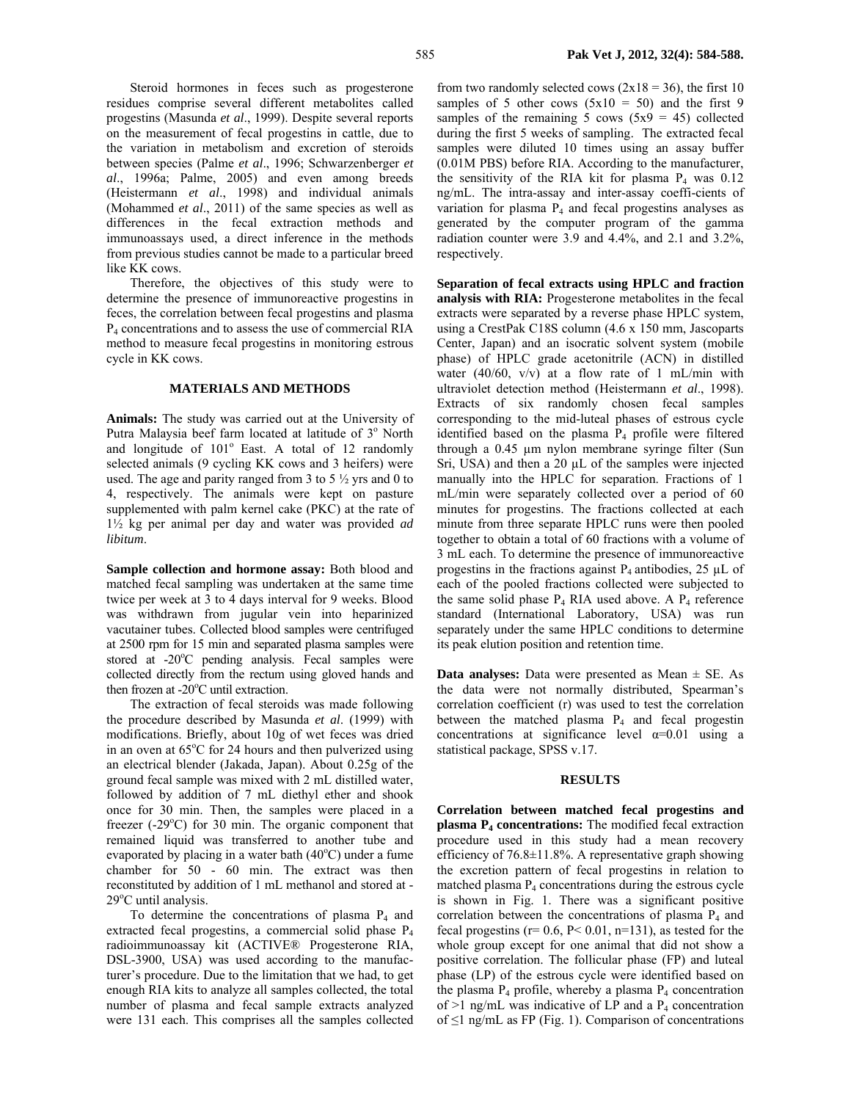Steroid hormones in feces such as progesterone residues comprise several different metabolites called progestins (Masunda *et al*., 1999). Despite several reports on the measurement of fecal progestins in cattle, due to the variation in metabolism and excretion of steroids between species (Palme *et al*., 1996; Schwarzenberger *et al*., 1996a; Palme, 2005) and even among breeds (Heistermann *et al*., 1998) and individual animals (Mohammed *et al*., 2011) of the same species as well as differences in the fecal extraction methods and immunoassays used, a direct inference in the methods from previous studies cannot be made to a particular breed like KK cows.

Therefore, the objectives of this study were to determine the presence of immunoreactive progestins in feces, the correlation between fecal progestins and plasma P4 concentrations and to assess the use of commercial RIA method to measure fecal progestins in monitoring estrous cycle in KK cows.

#### **MATERIALS AND METHODS**

**Animals:** The study was carried out at the University of Putra Malaysia beef farm located at latitude of 3° North and longitude of  $101^\circ$  East. A total of 12 randomly selected animals (9 cycling KK cows and 3 heifers) were used. The age and parity ranged from 3 to 5  $\frac{1}{2}$  yrs and 0 to 4, respectively. The animals were kept on pasture supplemented with palm kernel cake (PKC) at the rate of 1½ kg per animal per day and water was provided *ad libitum*.

**Sample collection and hormone assay:** Both blood and matched fecal sampling was undertaken at the same time twice per week at 3 to 4 days interval for 9 weeks. Blood was withdrawn from jugular vein into heparinized vacutainer tubes. Collected blood samples were centrifuged at 2500 rpm for 15 min and separated plasma samples were stored at -20°C pending analysis. Fecal samples were collected directly from the rectum using gloved hands and then frozen at  $-20^{\circ}$ C until extraction.

The extraction of fecal steroids was made following the procedure described by Masunda *et al*. (1999) with modifications. Briefly, about 10g of wet feces was dried in an oven at 65°C for 24 hours and then pulverized using an electrical blender (Jakada, Japan). About 0.25g of the ground fecal sample was mixed with 2 mL distilled water, followed by addition of 7 mL diethyl ether and shook once for 30 min. Then, the samples were placed in a freezer  $(-29^{\circ}C)$  for 30 min. The organic component that remained liquid was transferred to another tube and evaporated by placing in a water bath  $(40^{\circ}$ C) under a fume chamber for 50 - 60 min. The extract was then reconstituted by addition of 1 mL methanol and stored at - 29°C until analysis.

To determine the concentrations of plasma P4 and extracted fecal progestins, a commercial solid phase P4 radioimmunoassay kit (ACTIVE® Progesterone RIA, DSL-3900, USA) was used according to the manufacturer's procedure. Due to the limitation that we had, to get enough RIA kits to analyze all samples collected, the total number of plasma and fecal sample extracts analyzed were 131 each. This comprises all the samples collected

from two randomly selected cows  $(2x18 = 36)$ , the first 10 samples of 5 other cows  $(5x10 = 50)$  and the first 9 samples of the remaining 5 cows  $(5x9 = 45)$  collected during the first 5 weeks of sampling. The extracted fecal samples were diluted 10 times using an assay buffer (0.01M PBS) before RIA. According to the manufacturer, the sensitivity of the RIA kit for plasma  $P_4$  was 0.12 ng/mL. The intra-assay and inter-assay coeffi-cients of variation for plasma  $P_4$  and fecal progestins analyses as generated by the computer program of the gamma radiation counter were 3.9 and 4.4%, and 2.1 and 3.2%, respectively.

**Separation of fecal extracts using HPLC and fraction analysis with RIA:** Progesterone metabolites in the fecal extracts were separated by a reverse phase HPLC system, using a CrestPak C18S column (4.6 x 150 mm, Jascoparts Center, Japan) and an isocratic solvent system (mobile phase) of HPLC grade acetonitrile (ACN) in distilled water  $(40/60, v/v)$  at a flow rate of 1 mL/min with ultraviolet detection method (Heistermann *et al*., 1998). Extracts of six randomly chosen fecal samples corresponding to the mid-luteal phases of estrous cycle identified based on the plasma  $P_4$  profile were filtered through a 0.45 µm nylon membrane syringe filter (Sun Sri, USA) and then a  $20 \mu L$  of the samples were injected manually into the HPLC for separation. Fractions of 1 mL/min were separately collected over a period of 60 minutes for progestins. The fractions collected at each minute from three separate HPLC runs were then pooled together to obtain a total of 60 fractions with a volume of 3 mL each. To determine the presence of immunoreactive progestins in the fractions against  $P_4$  antibodies, 25 µL of each of the pooled fractions collected were subjected to the same solid phase  $P_4$  RIA used above. A  $P_4$  reference standard (International Laboratory, USA) was run separately under the same HPLC conditions to determine its peak elution position and retention time.

**Data analyses:** Data were presented as Mean  $\pm$  SE. As the data were not normally distributed, Spearman's correlation coefficient (r) was used to test the correlation between the matched plasma  $P_4$  and fecal progestin concentrations at significance level  $\alpha=0.01$  using a statistical package, SPSS v.17.

#### **RESULTS**

**Correlation between matched fecal progestins and plasma P4 concentrations:** The modified fecal extraction procedure used in this study had a mean recovery efficiency of 76.8±11.8%. A representative graph showing the excretion pattern of fecal progestins in relation to matched plasma  $P_4$  concentrations during the estrous cycle is shown in Fig. 1. There was a significant positive correlation between the concentrations of plasma  $P_4$  and fecal progestins ( $r= 0.6$ ,  $P< 0.01$ ,  $n=131$ ), as tested for the whole group except for one animal that did not show a positive correlation. The follicular phase (FP) and luteal phase (LP) of the estrous cycle were identified based on the plasma  $P_4$  profile, whereby a plasma  $P_4$  concentration of  $>1$  ng/mL was indicative of LP and a  $P_4$  concentration of  $\leq$ 1 ng/mL as FP (Fig. 1). Comparison of concentrations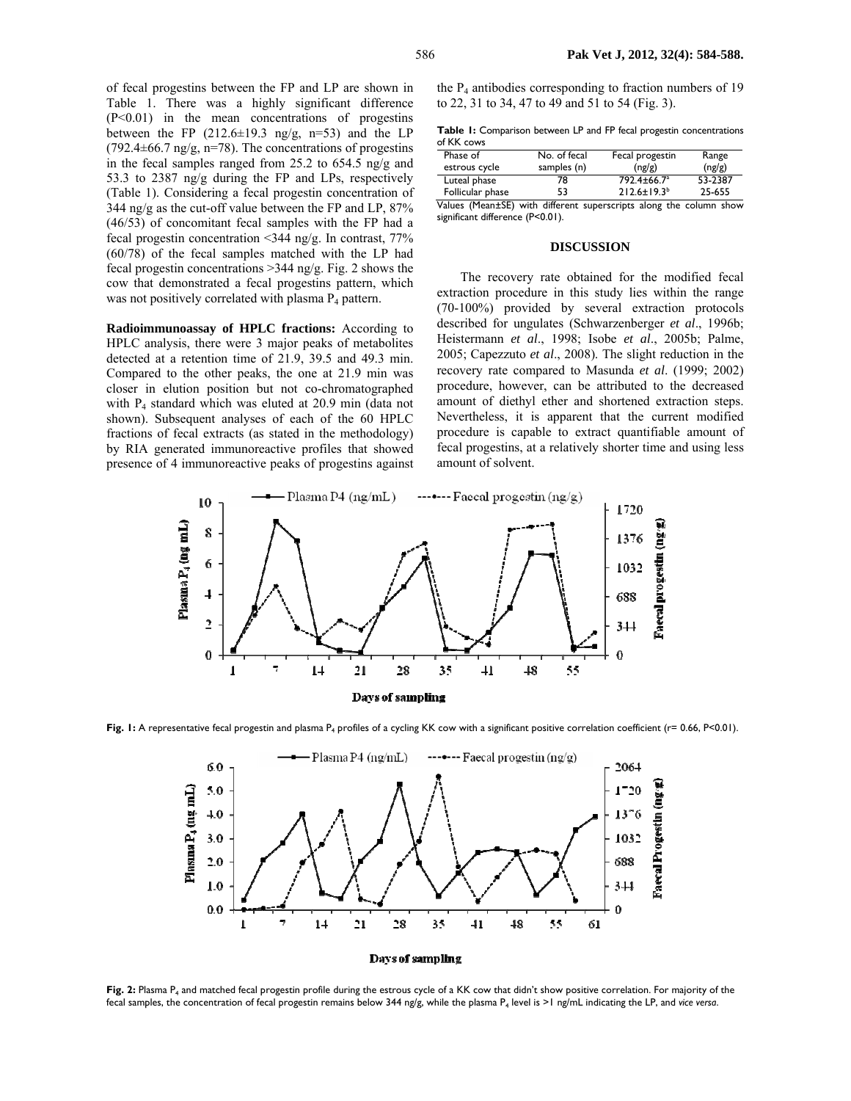of fecal progestins between the FP and LP are shown in Table 1. There was a highly significant difference  $(P<0.01)$  in the mean concentrations of progestins between the FP  $(212.6\pm19.3 \text{ ng/g}, \text{ n=53})$  and the LP (792.4 $\pm$ 66.7 ng/g, n=78). The concentrations of progestins in the fecal samples ranged from 25.2 to 654.5 ng/g and 53.3 to 2387 ng/g during the FP and LPs, respectively (Table 1). Considering a fecal progestin concentration of 344 ng/g as the cut-off value between the FP and LP, 87% (46/53) of concomitant fecal samples with the FP had a fecal progestin concentration <344 ng/g. In contrast, 77% (60/78) of the fecal samples matched with the LP had fecal progestin concentrations >344 ng/g. Fig. 2 shows the cow that demonstrated a fecal progestins pattern, which was not positively correlated with plasma  $P_4$  pattern.

**Radioimmunoassay of HPLC fractions:** According to HPLC analysis, there were 3 major peaks of metabolites detected at a retention time of 21.9, 39.5 and 49.3 min. Compared to the other peaks, the one at 21.9 min was closer in elution position but not co-chromatographed with P<sub>4</sub> standard which was eluted at 20.9 min (data not shown). Subsequent analyses of each of the 60 HPLC fractions of fecal extracts (as stated in the methodology) by RIA generated immunoreactive profiles that showed presence of 4 immunoreactive peaks of progestins against

the  $P_4$  antibodies corresponding to fraction numbers of 19 to 22, 31 to 34, 47 to 49 and 51 to 54 (Fig. 3).

**Table 1:** Comparison between LP and FP fecal progestin concentrations of KK cows

| Phase of         | No. of fecal | Fecal progestin                                                                                                                                                                                                                                                                                                                                                                                                                                              | Range   |
|------------------|--------------|--------------------------------------------------------------------------------------------------------------------------------------------------------------------------------------------------------------------------------------------------------------------------------------------------------------------------------------------------------------------------------------------------------------------------------------------------------------|---------|
| estrous cycle    | samples (n)  | (ng/g)                                                                                                                                                                                                                                                                                                                                                                                                                                                       | (ng/g)  |
| Luteal phase     | 78           | 792.4±66.7 <sup>a</sup>                                                                                                                                                                                                                                                                                                                                                                                                                                      | 53-2387 |
| Follicular phase | 53           | $212.6 \pm 19.3^{b}$                                                                                                                                                                                                                                                                                                                                                                                                                                         | 25-655  |
| $\mathbf{v}$     |              | $\mathcal{L} = \mathcal{L} = \mathcal{L} = \mathcal{L} = \mathcal{L} = \mathcal{L} = \mathcal{L} = \mathcal{L} = \mathcal{L} = \mathcal{L} = \mathcal{L} = \mathcal{L} = \mathcal{L} = \mathcal{L} = \mathcal{L} = \mathcal{L} = \mathcal{L} = \mathcal{L} = \mathcal{L} = \mathcal{L} = \mathcal{L} = \mathcal{L} = \mathcal{L} = \mathcal{L} = \mathcal{L} = \mathcal{L} = \mathcal{L} = \mathcal{L} = \mathcal{L} = \mathcal{L} = \mathcal{L} = \mathcal$ |         |

Values (Mean±SE) with different superscripts along the column show significant difference (P<0.01).

### **DISCUSSION**

The recovery rate obtained for the modified fecal extraction procedure in this study lies within the range (70-100%) provided by several extraction protocols described for ungulates (Schwarzenberger *et al*., 1996b; Heistermann *et al*., 1998; Isobe *et al*., 2005b; Palme, 2005; Capezzuto *et al*., 2008). The slight reduction in the recovery rate compared to Masunda *et al*. (1999; 2002) procedure, however, can be attributed to the decreased amount of diethyl ether and shortened extraction steps. Nevertheless, it is apparent that the current modified procedure is capable to extract quantifiable amount of fecal progestins, at a relatively shorter time and using less amount of solvent.



Fig. 1: A representative fecal progestin and plasma P<sub>4</sub> profiles of a cycling KK cow with a significant positive correlation coefficient (r= 0.66, P<0.01).



Fig. 2: Plasma P<sub>4</sub> and matched fecal progestin profile during the estrous cycle of a KK cow that didn't show positive correlation. For majority of the fecal samples, the concentration of fecal progestin remains below 344 ng/g, while the plasma P4 level is >1 ng/mL indicating the LP, and *vice versa*.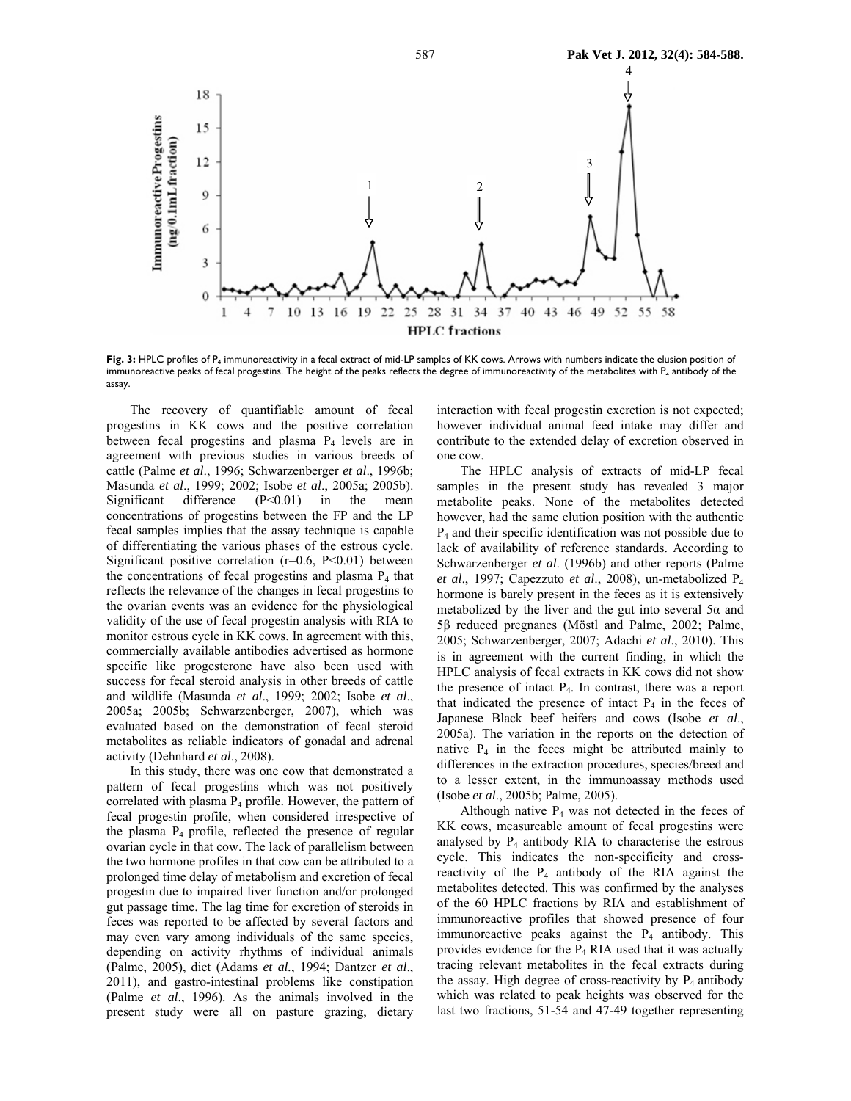

Fig. 3: HPLC profiles of P<sub>4</sub> immunoreactivity in a fecal extract of mid-LP samples of KK cows. Arrows with numbers indicate the elusion position of immunoreactive peaks of fecal progestins. The height of the peaks reflects the degree of immunoreactivity of the metabolites with P<sub>4</sub> antibody of the assay.

The recovery of quantifiable amount of fecal progestins in KK cows and the positive correlation between fecal progestins and plasma  $P_4$  levels are in agreement with previous studies in various breeds of cattle (Palme *et al*., 1996; Schwarzenberger *et al*., 1996b; Masunda *et al*., 1999; 2002; Isobe *et al*., 2005a; 2005b). Significant difference  $(P<0.01)$  in the mean concentrations of progestins between the FP and the LP fecal samples implies that the assay technique is capable of differentiating the various phases of the estrous cycle. Significant positive correlation  $(r=0.6, P<0.01)$  between the concentrations of fecal progestins and plasma  $P_4$  that reflects the relevance of the changes in fecal progestins to the ovarian events was an evidence for the physiological validity of the use of fecal progestin analysis with RIA to monitor estrous cycle in KK cows. In agreement with this, commercially available antibodies advertised as hormone specific like progesterone have also been used with success for fecal steroid analysis in other breeds of cattle and wildlife (Masunda *et al*., 1999; 2002; Isobe *et al*., 2005a; 2005b; Schwarzenberger, 2007), which was evaluated based on the demonstration of fecal steroid metabolites as reliable indicators of gonadal and adrenal activity (Dehnhard *et al*., 2008).

In this study, there was one cow that demonstrated a pattern of fecal progestins which was not positively correlated with plasma P4 profile. However, the pattern of fecal progestin profile, when considered irrespective of the plasma P4 profile, reflected the presence of regular ovarian cycle in that cow. The lack of parallelism between the two hormone profiles in that cow can be attributed to a prolonged time delay of metabolism and excretion of fecal progestin due to impaired liver function and/or prolonged gut passage time. The lag time for excretion of steroids in feces was reported to be affected by several factors and may even vary among individuals of the same species, depending on activity rhythms of individual animals (Palme, 2005), diet (Adams *et al.*, 1994; Dantzer *et al*., 2011), and gastro-intestinal problems like constipation (Palme *et al*., 1996). As the animals involved in the present study were all on pasture grazing, dietary

interaction with fecal progestin excretion is not expected; however individual animal feed intake may differ and contribute to the extended delay of excretion observed in one cow.

The HPLC analysis of extracts of mid-LP fecal samples in the present study has revealed 3 major metabolite peaks. None of the metabolites detected however, had the same elution position with the authentic P4 and their specific identification was not possible due to lack of availability of reference standards. According to Schwarzenberger *et al*. (1996b) and other reports (Palme *et al*., 1997; Capezzuto *et al*., 2008), un-metabolized P4 hormone is barely present in the feces as it is extensively metabolized by the liver and the gut into several  $5\alpha$  and 5β reduced pregnanes (Möstl and Palme, 2002; Palme, 2005; Schwarzenberger, 2007; Adachi *et al*., 2010). This is in agreement with the current finding, in which the HPLC analysis of fecal extracts in KK cows did not show the presence of intact P4. In contrast, there was a report that indicated the presence of intact  $P_4$  in the feces of Japanese Black beef heifers and cows (Isobe *et al*., 2005a). The variation in the reports on the detection of native  $P_4$  in the feces might be attributed mainly to differences in the extraction procedures, species/breed and to a lesser extent, in the immunoassay methods used (Isobe *et al*., 2005b; Palme, 2005).

Although native  $P_4$  was not detected in the feces of KK cows, measureable amount of fecal progestins were analysed by  $P_4$  antibody RIA to characterise the estrous cycle. This indicates the non-specificity and crossreactivity of the  $P_4$  antibody of the RIA against the metabolites detected. This was confirmed by the analyses of the 60 HPLC fractions by RIA and establishment of immunoreactive profiles that showed presence of four immunoreactive peaks against the  $P_4$  antibody. This provides evidence for the  $P_4$  RIA used that it was actually tracing relevant metabolites in the fecal extracts during the assay. High degree of cross-reactivity by  $P_4$  antibody which was related to peak heights was observed for the last two fractions, 51-54 and 47-49 together representing